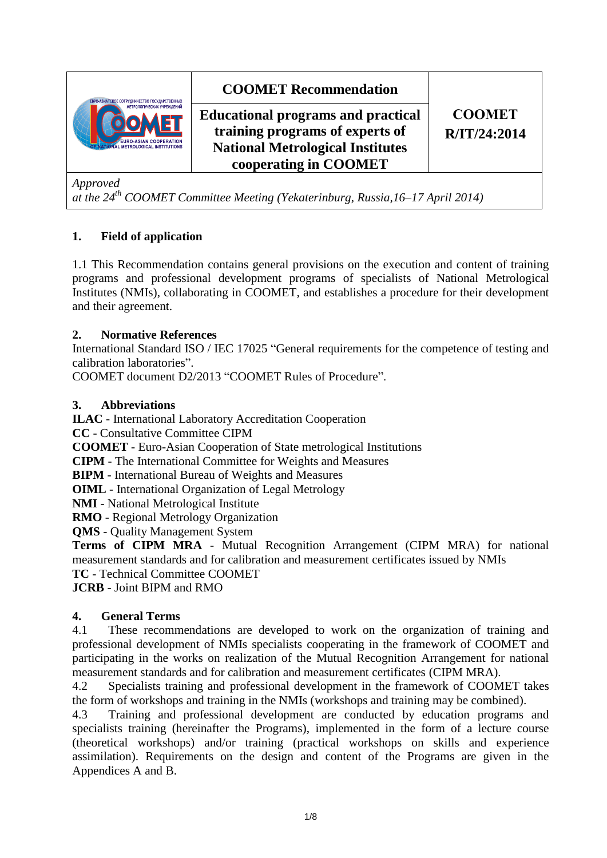

*Approved*

*at the 24th COOMET Committee Meeting (Yekaterinburg, Russia,16–17 April 2014)*

## **1. Field of application**

1.1 This Recommendation contains general provisions on the execution and content of training programs and professional development programs of specialists of National Metrological Institutes (NMIs), collaborating in COOMET, and establishes a procedure for their development and their agreement.

## **2. Normative References**

International Standard ISO / IEC 17025 "General requirements for the competence of testing and calibration laboratories".

COOMET document D2/2013 "COOMET Rules of Procedure".

## **3. Abbreviations**

**ILAC** - International Laboratory Accreditation Cooperation

**CC** - Consultative Committee CIPM

**COOMET** - Euro-Asian Cooperation of State metrological Institutions

**CIPM** - The International Committee for Weights and Measures

**BIPM** - International Bureau of Weights and Measures

**OIML** - International Organization of Legal Metrology

**NMI** - National Metrological Institute

**RMO** - Regional Metrology Organization

**QMS** - Quality Management System

**Terms of CIPM MRA** - Mutual Recognition Arrangement (CIPM MRA) for national measurement standards and for calibration and measurement certificates issued by NMIs **TC** - Technical Committee COOMET

**JCRB** - Joint BIPM and RMO

# **4. General Terms**

4.1 These recommendations are developed to work on the organization of training and professional development of NMIs specialists cooperating in the framework of COOMET and participating in the works on realization of the Mutual Recognition Arrangement for national measurement standards and for calibration and measurement certificates (CIPM MRA).

4.2 Specialists training and professional development in the framework of COOMET takes the form of workshops and training in the NMIs (workshops and training may be combined).

4.3 Training and professional development are conducted by education programs and specialists training (hereinafter the Programs), implemented in the form of a lecture course (theoretical workshops) and/or training (practical workshops on skills and experience assimilation). Requirements on the design and content of the Programs are given in the Appendices A and B.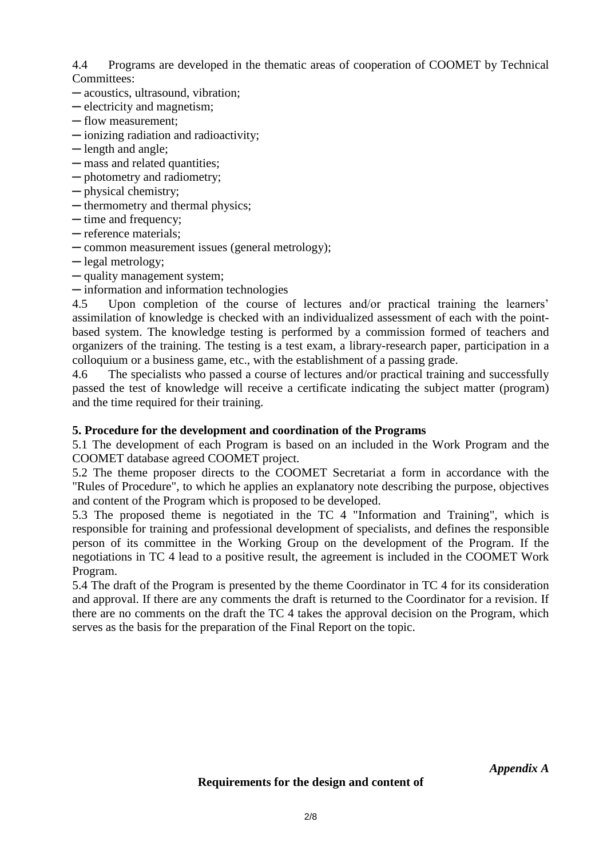4.4 Programs are developed in the thematic areas of cooperation of COOMET by Technical Committees:

- ─ acoustics, ultrasound, vibration;
- ─ electricity and magnetism;
- ─ flow measurement;
- ─ ionizing radiation and radioactivity;
- ─ length and angle;
- ─ mass and related quantities;
- ─ photometry and radiometry;
- ─ physical chemistry;
- ─ thermometry and thermal physics;
- ─ time and frequency;
- ─ reference materials;
- ─ common measurement issues (general metrology);
- ─ legal metrology;
- ─ quality management system;
- ─ information and information technologies

4.5 Upon completion of the course of lectures and/or practical training the learners' assimilation of knowledge is checked with an individualized assessment of each with the pointbased system. The knowledge testing is performed by a commission formed of teachers and organizers of the training. The testing is a test exam, a library-research paper, participation in a colloquium or a business game, etc., with the establishment of a passing grade.

4.6 The specialists who passed a course of lectures and/or practical training and successfully passed the test of knowledge will receive a certificate indicating the subject matter (program) and the time required for their training.

#### **5. Procedure for the development and coordination of the Programs**

5.1 The development of each Program is based on an included in the Work Program and the COOMET database agreed COOMET project.

5.2 The theme proposer directs to the COOMET Secretariat a form in accordance with the "Rules of Procedure", to which he applies an explanatory note describing the purpose, objectives and content of the Program which is proposed to be developed.

5.3 The proposed theme is negotiated in the TC 4 "Information and Training", which is responsible for training and professional development of specialists, and defines the responsible person of its committee in the Working Group on the development of the Program. If the negotiations in TC 4 lead to a positive result, the agreement is included in the COOMET Work Program.

5.4 The draft of the Program is presented by the theme Coordinator in TC 4 for its consideration and approval. If there are any comments the draft is returned to the Coordinator for a revision. If there are no comments on the draft the TC 4 takes the approval decision on the Program, which serves as the basis for the preparation of the Final Report on the topic.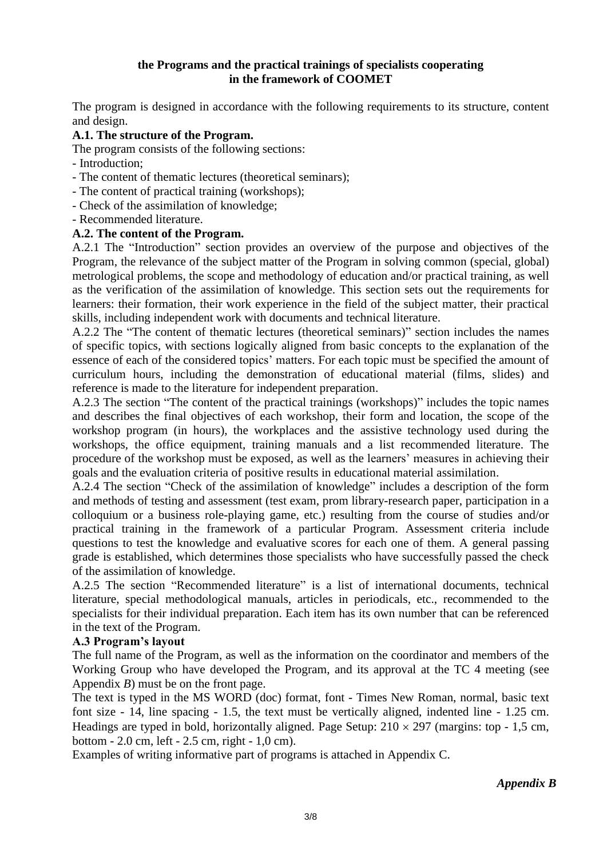## **the Programs and the practical trainings of specialists cooperating in the framework of COOMET**

The program is designed in accordance with the following requirements to its structure, content and design.

## **A.1. The structure of the Program.**

The program consists of the following sections:

- Introduction;
- The content of thematic lectures (theoretical seminars);
- The content of practical training (workshops);
- Check of the assimilation of knowledge;
- Recommended literature.

## **A.2. The content of the Program.**

A.2.1 The "Introduction" section provides an overview of the purpose and objectives of the Program, the relevance of the subject matter of the Program in solving common (special, global) metrological problems, the scope and methodology of education and/or practical training, as well as the verification of the assimilation of knowledge. This section sets out the requirements for learners: their formation, their work experience in the field of the subject matter, their practical skills, including independent work with documents and technical literature.

A.2.2 The "The content of thematic lectures (theoretical seminars)" section includes the names of specific topics, with sections logically aligned from basic concepts to the explanation of the essence of each of the considered topics' matters. For each topic must be specified the amount of curriculum hours, including the demonstration of educational material (films, slides) and reference is made to the literature for independent preparation.

A.2.3 The section "The content of the practical trainings (workshops)" includes the topic names and describes the final objectives of each workshop, their form and location, the scope of the workshop program (in hours), the workplaces and the assistive technology used during the workshops, the office equipment, training manuals and a list recommended literature. The procedure of the workshop must be exposed, as well as the learners' measures in achieving their goals and the evaluation criteria of positive results in educational material assimilation.

A.2.4 The section "Check of the assimilation of knowledge" includes a description of the form and methods of testing and assessment (test exam, prom library-research paper, participation in a colloquium or a business role-playing game, etc.) resulting from the course of studies and/or practical training in the framework of a particular Program. Assessment criteria include questions to test the knowledge and evaluative scores for each one of them. A general passing grade is established, which determines those specialists who have successfully passed the check of the assimilation of knowledge.

A.2.5 The section "Recommended literature" is a list of international documents, technical literature, special methodological manuals, articles in periodicals, etc., recommended to the specialists for their individual preparation. Each item has its own number that can be referenced in the text of the Program.

#### **A.3 Program's layout**

The full name of the Program, as well as the information on the coordinator and members of the Working Group who have developed the Program, and its approval at the TC 4 meeting (see Appendix *B*) must be on the front page.

The text is typed in the MS WORD (doc) format, font - Times New Roman, normal, basic text font size - 14, line spacing - 1.5, the text must be vertically aligned, indented line - 1.25 cm. Headings are typed in bold, horizontally aligned. Page Setup:  $210 \times 297$  (margins: top - 1.5 cm, bottom - 2.0 cm, left - 2.5 cm, right - 1,0 cm).

Examples of writing informative part of programs is attached in Appendix C.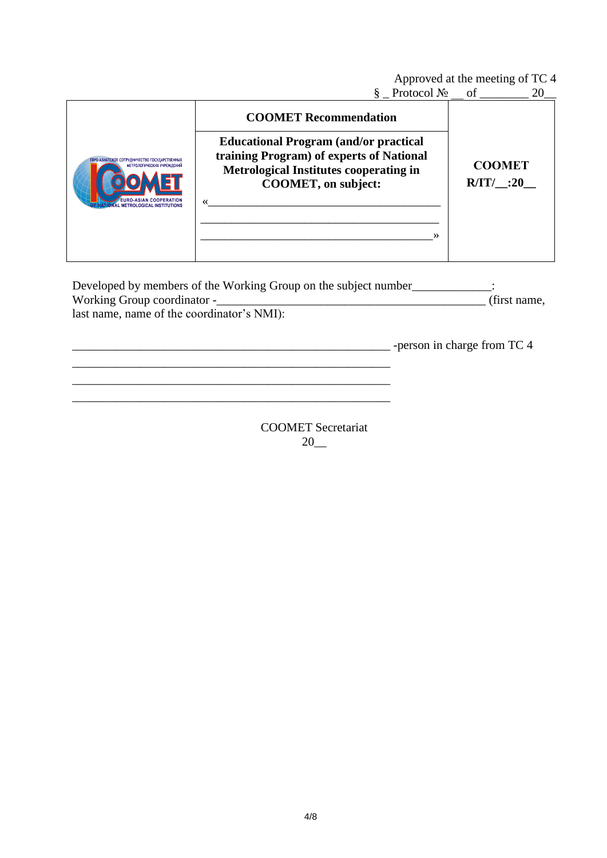Approved at the meeting of TC 4

§ Protocol  $\mathbb{N}_2$  of  $20$ 

| ЕВРО-АЗИАТСКОЕ СОТРУДНИЧЕСТВО ГОСУДАРСТВЕННЫХ<br>МЕТРОЛОГИЧЕСКИХ УЧРЕЖДЕНИЙ<br><b>EURO-ASIAN COOPERATION</b><br><b>L METROLOGICAL INSTITUTIONS</b> | <b>COOMET Recommendation</b><br><b>Educational Program (and/or practical</b><br>training Program) of experts of National<br><b>Metrological Institutes cooperating in</b><br><b>COOMET, on subject:</b><br>≫ | <b>COOMET</b><br>$R/IT/$ :20 |
|----------------------------------------------------------------------------------------------------------------------------------------------------|--------------------------------------------------------------------------------------------------------------------------------------------------------------------------------------------------------------|------------------------------|
|----------------------------------------------------------------------------------------------------------------------------------------------------|--------------------------------------------------------------------------------------------------------------------------------------------------------------------------------------------------------------|------------------------------|

Developed by members of the Working Group on the subject number\_\_\_\_\_\_\_\_\_\_\_\_\_: Working Group coordinator -\_\_\_\_\_\_\_\_\_\_\_\_\_\_\_\_\_\_\_\_\_\_\_\_\_\_\_\_\_\_\_\_\_\_\_\_\_\_\_\_\_\_\_\_ (first name, last name, name of the coordinator's NMI):

\_\_\_\_\_\_\_\_\_\_\_\_\_\_\_\_\_\_\_\_\_\_\_\_\_\_\_\_\_\_\_\_\_\_\_\_\_\_\_\_\_\_\_\_\_\_\_\_\_\_\_\_ \_\_\_\_\_\_\_\_\_\_\_\_\_\_\_\_\_\_\_\_\_\_\_\_\_\_\_\_\_\_\_\_\_\_\_\_\_\_\_\_\_\_\_\_\_\_\_\_\_\_\_\_

\_\_\_\_\_\_\_\_\_\_\_\_\_\_\_\_\_\_\_\_\_\_\_\_\_\_\_\_\_\_\_\_\_\_\_\_\_\_\_\_\_\_\_\_\_\_\_\_\_\_\_\_ -person in charge from TC 4

COOMET Secretariat 20\_\_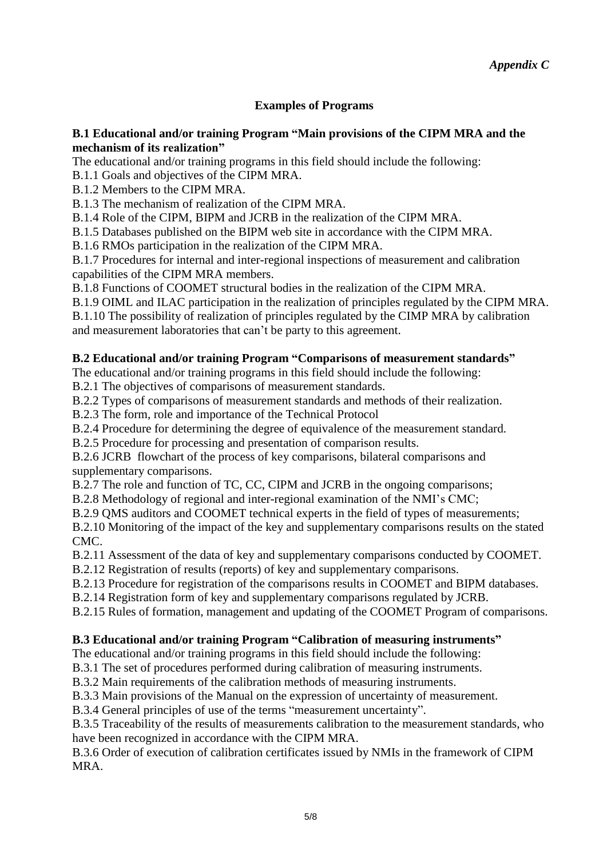# **Examples of Programs**

## **B.1 Educational and/or training Program "Main provisions of the CIPM MRA and the mechanism of its realization"**

The educational and/or training programs in this field should include the following:

B.1.1 Goals and objectives of the CIPM MRA.

B.1.2 Members to the CIPM MRA.

B.1.3 The mechanism of realization of the CIPM MRA.

B.1.4 Role of the CIPM, BIPM and JCRB in the realization of the CIPM MRA.

B.1.5 Databases published on the BIPM web site in accordance with the CIPM MRA.

B.1.6 RMOs participation in the realization of the CIPM MRA.

B.1.7 Procedures for internal and inter-regional inspections of measurement and calibration capabilities of the CIPM MRA members.

B.1.8 Functions of COOMET structural bodies in the realization of the CIPM MRA.

B.1.9 OIML and ILAC participation in the realization of principles regulated by the CIPM MRA.

B.1.10 The possibility of realization of principles regulated by the CIMP MRA by calibration and measurement laboratories that can't be party to this agreement.

## **B.2 Educational and/or training Program "Comparisons of measurement standards"**

The educational and/or training programs in this field should include the following:

B.2.1 The objectives of comparisons of measurement standards.

B.2.2 Types of comparisons of measurement standards and methods of their realization.

B.2.3 The form, role and importance of the Technical Protocol

B.2.4 Procedure for determining the degree of equivalence of the measurement standard.

B.2.5 Procedure for processing and presentation of comparison results.

B.2.6 JCRB flowchart of the process of key comparisons, bilateral comparisons and supplementary comparisons.

B.2.7 The role and function of TC, CC, CIPM and JCRB in the ongoing comparisons;

B.2.8 Methodology of regional and inter-regional examination of the NMI's CMC;

B.2.9 QMS auditors and COOMET technical experts in the field of types of measurements;

B.2.10 Monitoring of the impact of the key and supplementary comparisons results on the stated CMC.

B.2.11 Assessment of the data of key and supplementary comparisons conducted by COOMET.

B.2.12 Registration of results (reports) of key and supplementary comparisons.

B.2.13 Procedure for registration of the comparisons results in COOMET and BIPM databases.

B.2.14 Registration form of key and supplementary comparisons regulated by JCRB.

B.2.15 Rules of formation, management and updating of the COOMET Program of comparisons.

# **B.3 Educational and/or training Program "Calibration of measuring instruments"**

The educational and/or training programs in this field should include the following:

B.3.1 The set of procedures performed during calibration of measuring instruments.

B.3.2 Main requirements of the calibration methods of measuring instruments.

B.3.3 Main provisions of the Manual on the expression of uncertainty of measurement.

B.3.4 General principles of use of the terms "measurement uncertainty".

B.3.5 Traceability of the results of measurements calibration to the measurement standards, who have been recognized in accordance with the CIPM MRA.

B.3.6 Order of execution of calibration certificates issued by NMIs in the framework of CIPM MRA.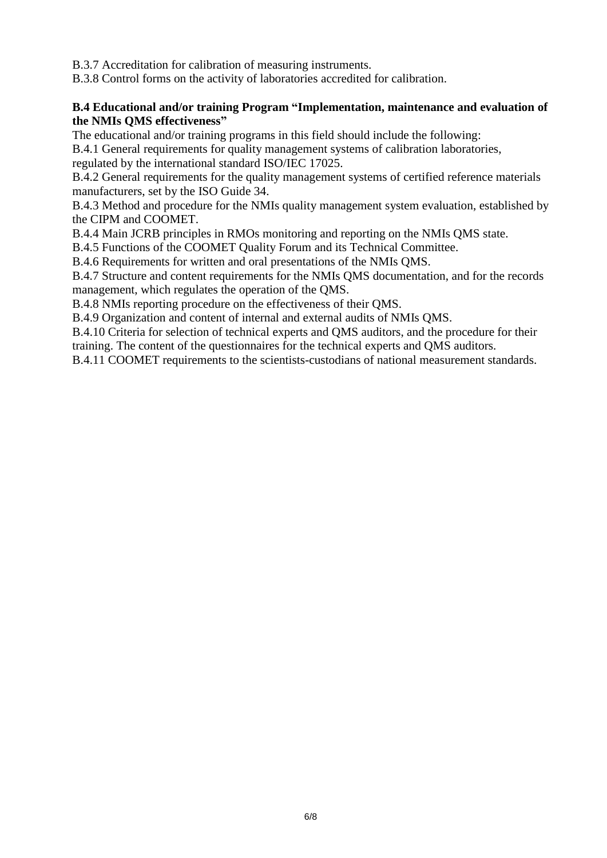B.3.7 Accreditation for calibration of measuring instruments.

B.3.8 Control forms on the activity of laboratories accredited for calibration.

## **B.4 Educational and/or training Program "Implementation, maintenance and evaluation of the NMIs QMS effectiveness"**

The educational and/or training programs in this field should include the following:

B.4.1 General requirements for quality management systems of calibration laboratories,

regulated by the international standard ISO/IEC 17025.

B.4.2 General requirements for the quality management systems of certified reference materials manufacturers, set by the ISO Guide 34.

B.4.3 Method and procedure for the NMIs quality management system evaluation, established by the CIPM and COOMET.

B.4.4 Main JCRB principles in RMOs monitoring and reporting on the NMIs QMS state.

B.4.5 Functions of the COOMET Quality Forum and its Technical Committee.

B.4.6 Requirements for written and oral presentations of the NMIs QMS.

B.4.7 Structure and content requirements for the NMIs QMS documentation, and for the records management, which regulates the operation of the QMS.

B.4.8 NMIs reporting procedure on the effectiveness of their QMS.

B.4.9 Organization and content of internal and external audits of NMIs QMS.

B.4.10 Criteria for selection of technical experts and QMS auditors, and the procedure for their training. The content of the questionnaires for the technical experts and QMS auditors.

B.4.11 COOMET requirements to the scientists-custodians of national measurement standards.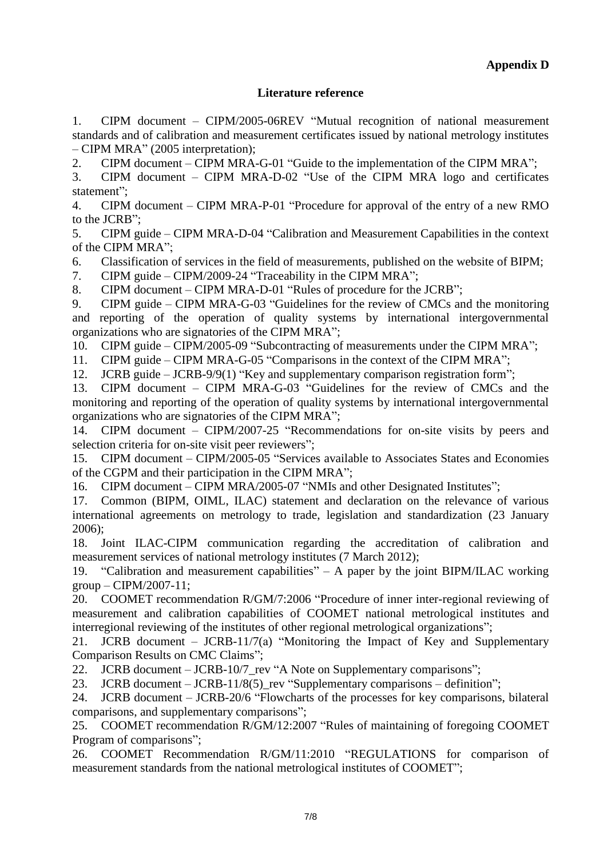## **Literature reference**

1. CIPM document – CIPM/2005-06REV "Mutual recognition of national measurement standards and of calibration and measurement certificates issued by national metrology institutes – CIPM MRA" (2005 interpretation);

2. CIPM document – CIPM MRA-G-01 "Guide to the implementation of the CIPM MRA";

3. CIPM document – CIPM MRA-D-02 "Use of the CIPM MRA logo and certificates statement";

4. CIPM document – CIPM MRA-P-01 "Procedure for approval of the entry of a new RMO to the JCRB";

5. CIPM guide – CIPM MRA-D-04 "Calibration and Measurement Capabilities in the context of the CIPM MRA";

6. Classification of services in the field of measurements, published on the website of BIPM;

7. CIPM guide – CIPM/2009-24 "Traceability in the CIPM MRA";

8. CIPM document – CIPM MRA-D-01 "Rules of procedure for the JCRB";

9. CIPM guide – CIPM MRA-G-03 "Guidelines for the review of CMCs and the monitoring and reporting of the operation of quality systems by international intergovernmental organizations who are signatories of the CIPM MRA";

10. CIPM guide – CIPM/2005-09 "Subcontracting of measurements under the CIPM MRA";

11. CIPM guide – CIPM MRA-G-05 "Comparisons in the context of the CIPM MRA";

12. JCRB guide – JCRB-9/9(1) ["Key and supplementary comparison registration form"](http://www.bipm.org/utils/common/documents/jcrb/registration_form.doc);

13. CIPM document – CIPM MRA-G-03 ["Guidelines for the review of CMCs and the](http://www.bipm.org/utils/common/CIPM_MRA/CIPM_MRA-G-03.pdf)  [monitoring and reporting of the operation of quality systems by international intergovernmental](http://www.bipm.org/utils/common/CIPM_MRA/CIPM_MRA-G-03.pdf)  [organizations who are signatories of the CIPM MRA"](http://www.bipm.org/utils/common/CIPM_MRA/CIPM_MRA-G-03.pdf);

14. CIPM document – CIPM/2007-25 ["Recommendations for on-site visits by peers and](http://www.bipm.org/utils/common/documents/jcrb/CIPM_2007_25_Onsite_visits_accepted.pdf)  [selection criteria for on-site visit peer reviewers"](http://www.bipm.org/utils/common/documents/jcrb/CIPM_2007_25_Onsite_visits_accepted.pdf);

15. CIPM document – CIPM/2005-05 ["Services available to Associates States and Economies](http://www.bipm.org/cc/CIPM/Allowed/94/SERVICESTOASSCIPM05.pdf)  [of the CGPM and their participation in the CIPM MRA"](http://www.bipm.org/cc/CIPM/Allowed/94/SERVICESTOASSCIPM05.pdf);

16. CIPM document – CIPM MRA/2005-07 ["NMIs and other Designated Institutes"](http://www.bipm.org/cc/CIPM/Allowed/94/DESIGNINSTITCIPM07.pdf);

17. Common (BIPM, OIML, ILAC) statement and declaration on the relevance of various international agreements on metrology to trade, legislation and standardization (23 January 2006);

18. Joint ILAC-CIPM communication regarding the accreditation of calibration and measurement services of national metrology institutes (7 March 2012);

19. ["Calibration and measurement capabilities"](http://www.bipm.org/utils/common/documents/jcrb/CIPM_2007_11_CMC_BMC_accepted.pdf) – A paper by the joint BIPM/ILAC working [group](http://www.bipm.org/utils/common/documents/jcrb/CIPM_2007_11_CMC_BMC_accepted.pdf) – CIPM/2007-11;

20. COOMET recommendation R/GM/7:2006 "Procedure of inner inter-regional reviewing of measurement and calibration capabilities of COOMET national metrological institutes and interregional reviewing of the institutes of other regional metrological organizations";

21. JCRB document – JCRB-11/7(а) "Monitoring the Impact of Key and Supplementary Comparison Results on CMC Claims";

22. JCRB document – JCRB-10/7\_rev "A Note on Supplementary comparisons";

23. JCRB document – JCRB-11/8(5)\_rev "Supplementary comparisons – definition";

24. JCRB document – JCRB-20/6 "Flowcharts of the processes for key comparisons, bilateral comparisons, and supplementary comparisons";

25. COOMET recommendation R/GM/12:2007 "Rules of maintaining of foregoing COOMET Program of comparisons";

26. COOMET Recommendation R/GM/11:2010 "REGULATIONS for comparison of measurement standards from the national metrological institutes of COOMET";